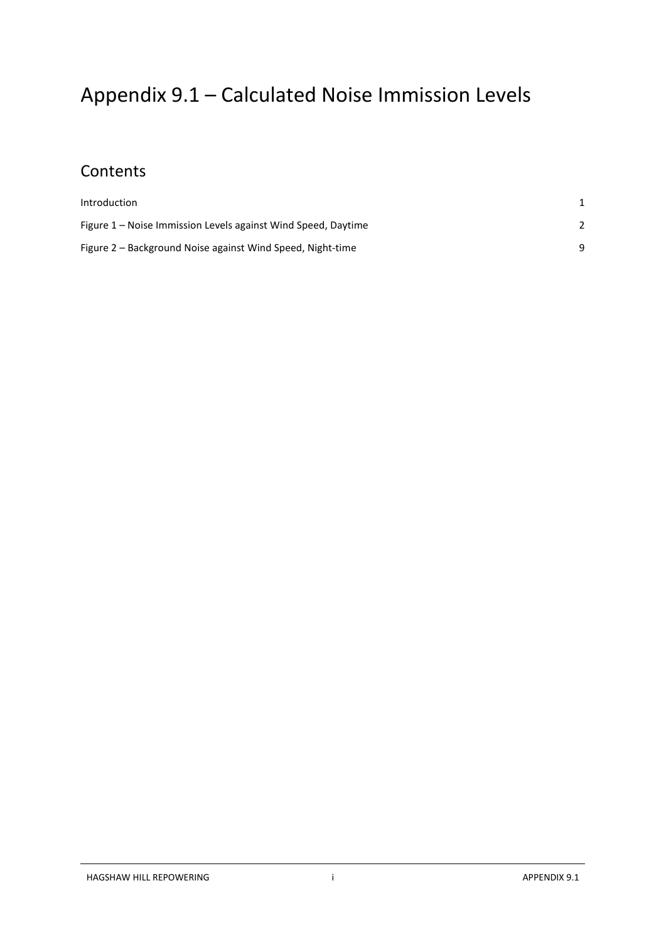# Appendix 9.1 – Calculated Noise Immission Levels

### **Contents**

| Introduction                                                  |  |
|---------------------------------------------------------------|--|
| Figure 1 – Noise Immission Levels against Wind Speed, Daytime |  |
| Figure 2 – Background Noise against Wind Speed, Night-time    |  |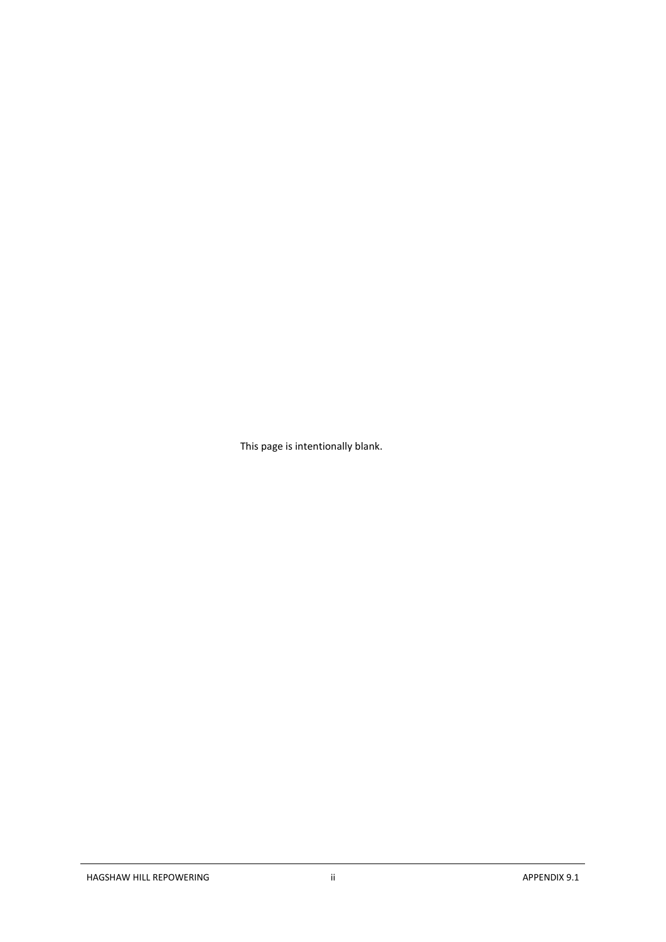This page is intentionally blank.

HAGSHAW HILL REPOWERING **ii** ii and the settlement of the settlement of the settlement of the settlement of the set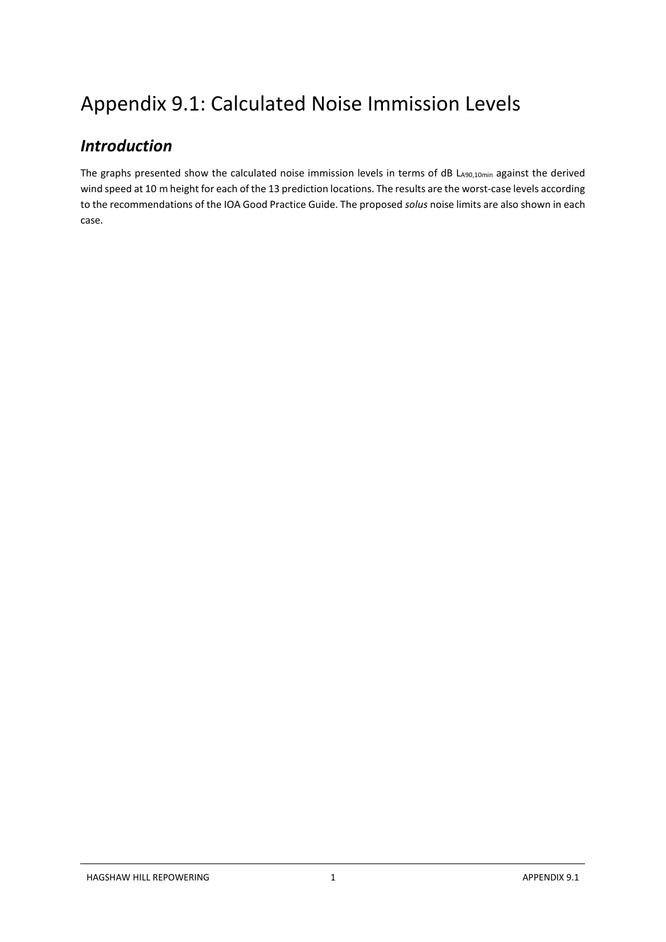## Appendix 9.1: Calculated Noise Immission Levels

#### <span id="page-2-0"></span>*Introduction*

The graphs presented show the calculated noise immission levels in terms of dB LA90,10min against the derived wind speed at 10 m height for each of the 13 prediction locations. The results are the worst-case levels according to the recommendations of the IOA Good Practice Guide. The proposed *solus* noise limits are also shown in each case.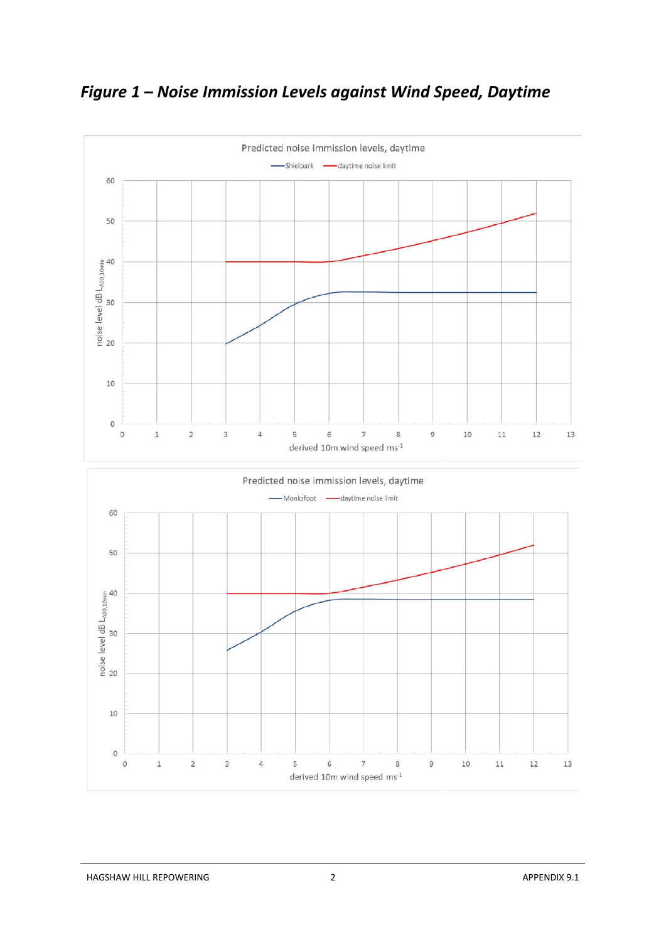

<span id="page-3-0"></span>*Figure 1 – Noise Immission Levels against Wind Speed, Daytime*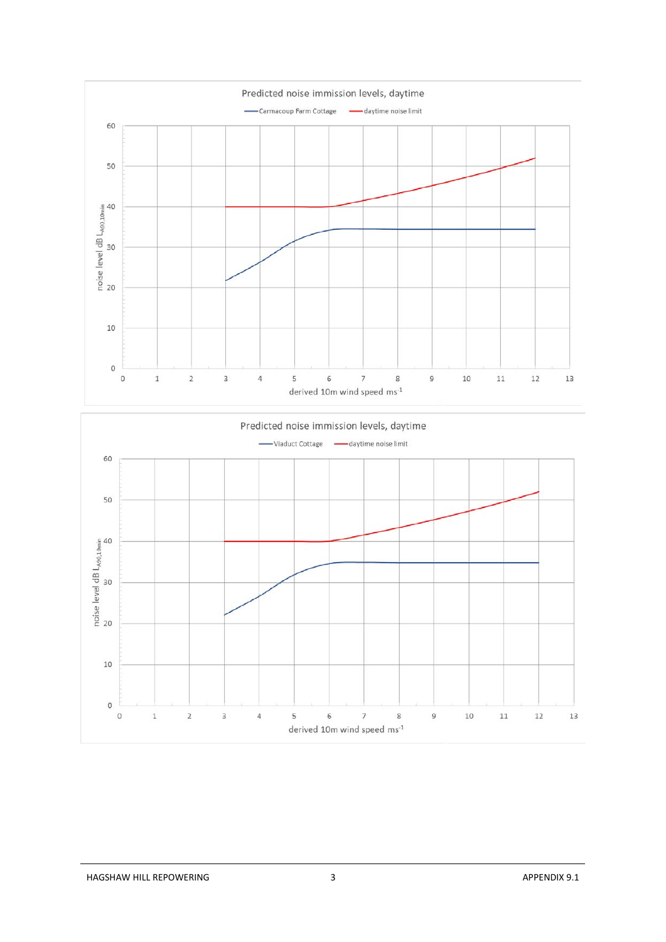



#### HAGSHAW HILL REPOWERING **3** 3 APPENDIX 9.1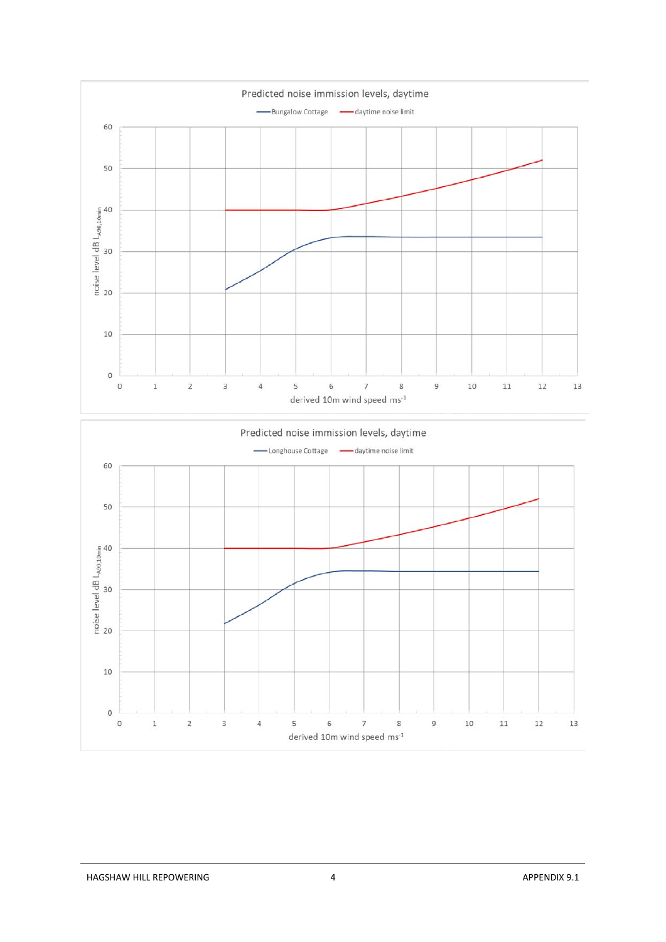

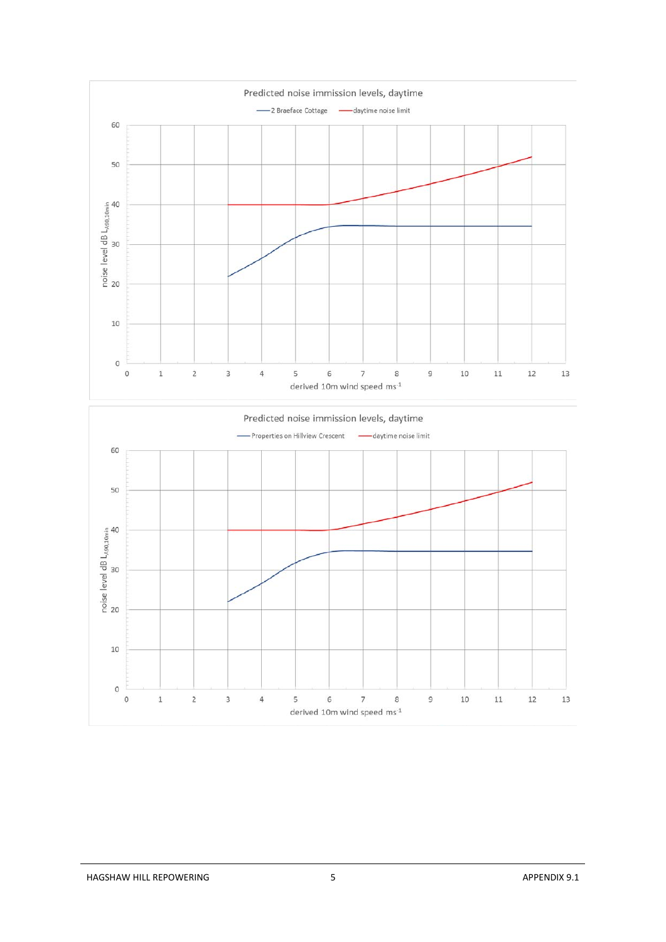

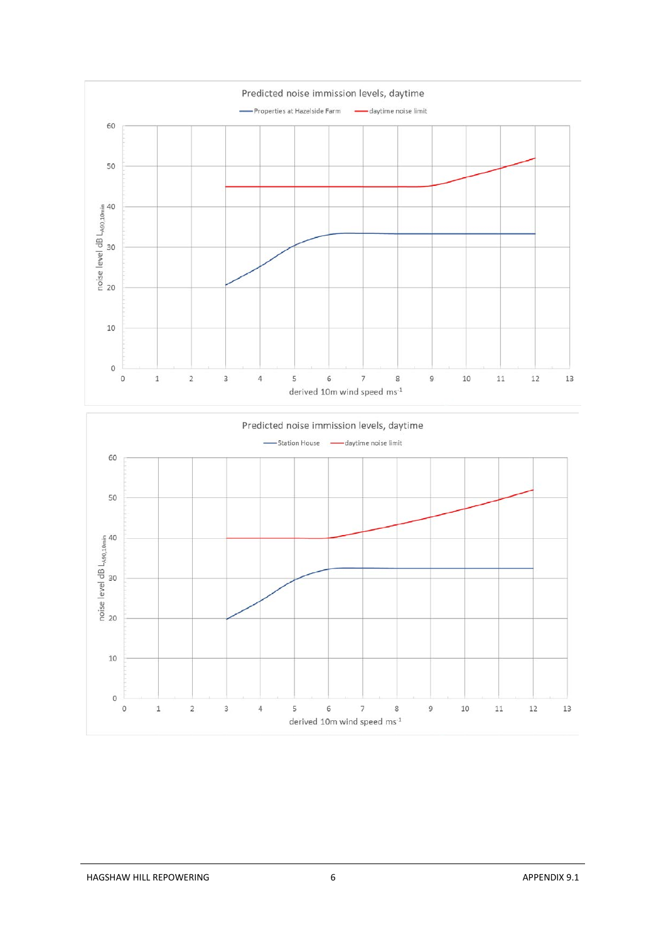

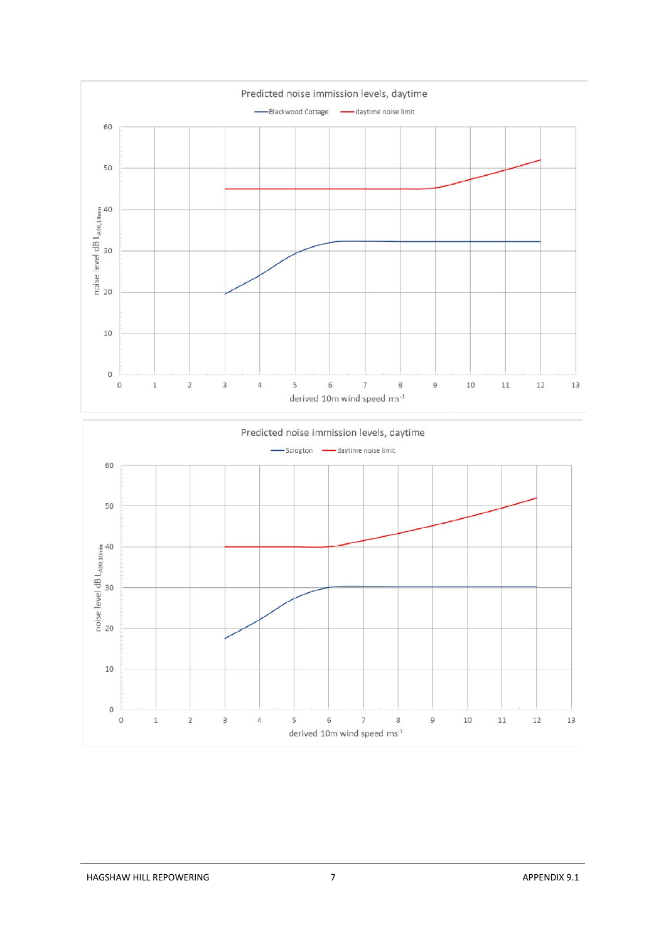

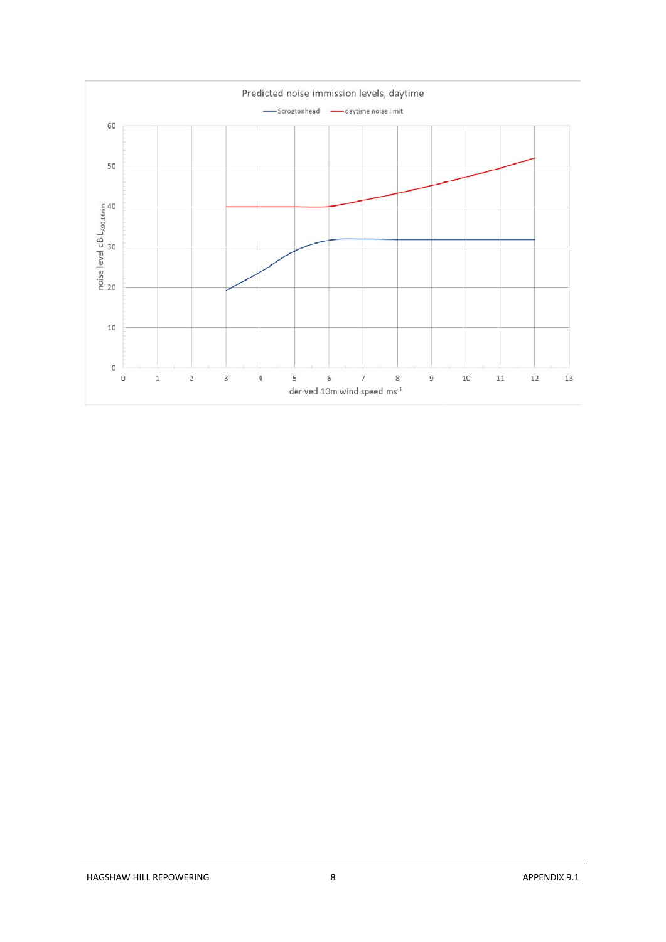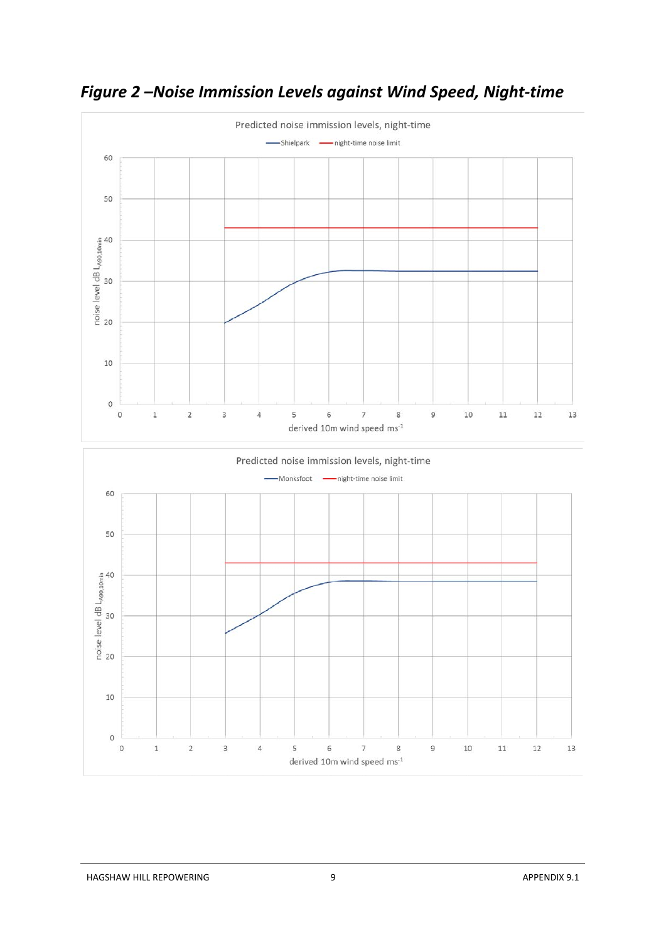

<span id="page-10-0"></span>*Figure 2 –Noise Immission Levels against Wind Speed, Night-time*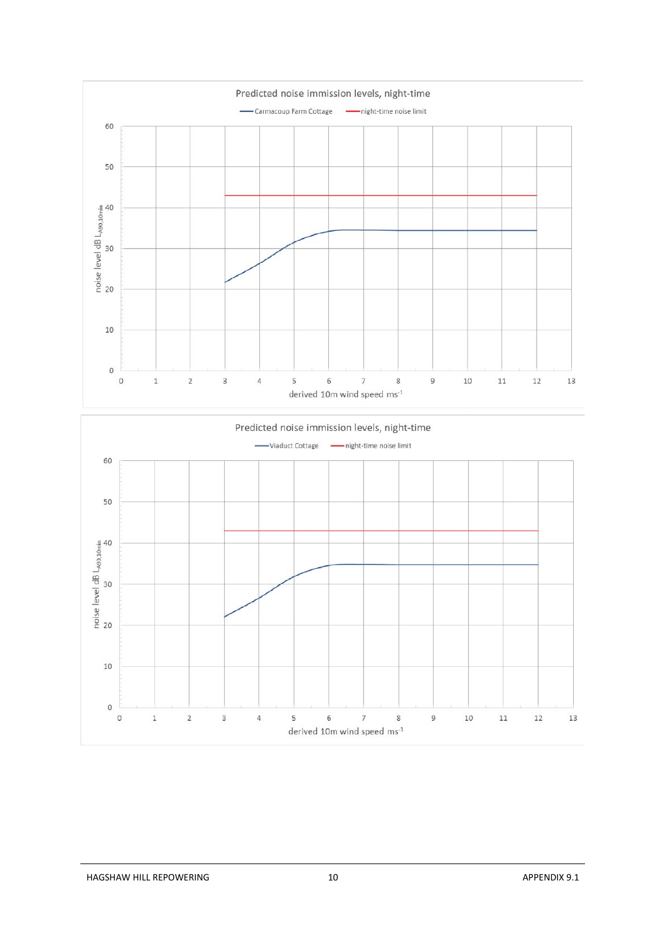



HAGSHAW HILL REPOWERING 10 10 appendix 9.1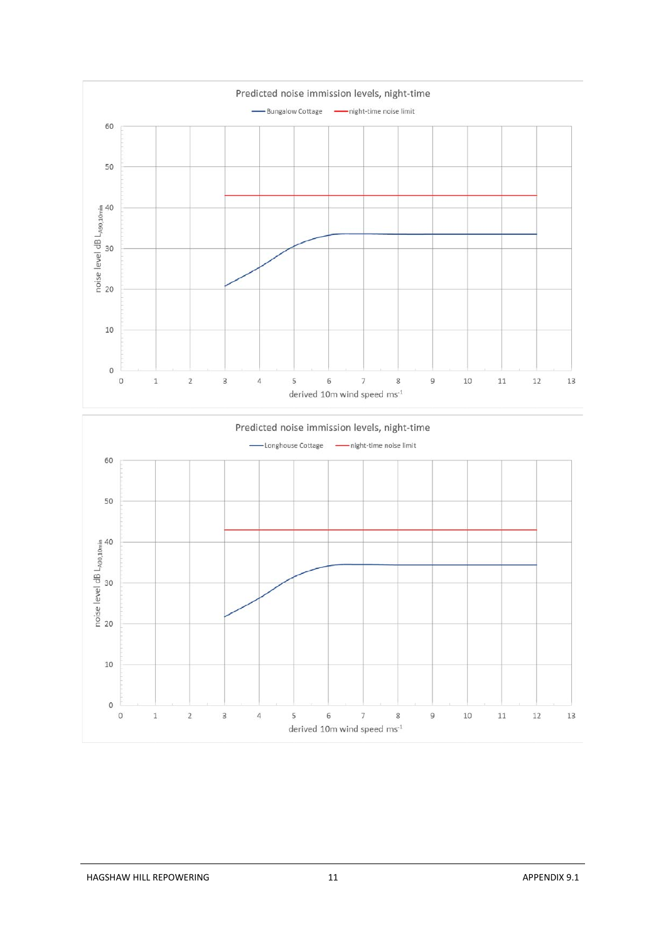



10

 $\circ$ 

 $\mathbf{0}$ 

 $\,1\,$ 

 $\sqrt{2}$ 

 $\ensuremath{\mathsf{3}}$ 

 $\overline{4}$ 

 $\sf S$ 

 $\mathsf 6$ 

derived 10m wind speed  $\mathrm{ms}^{\text{-}1}$ 

 $\overline{\phantom{a}}$ 

 $\,$  8  $\,$ 

 $\,9$ 

 $10\,$ 

 $11\,$ 

 $12\,$ 

 $13\,$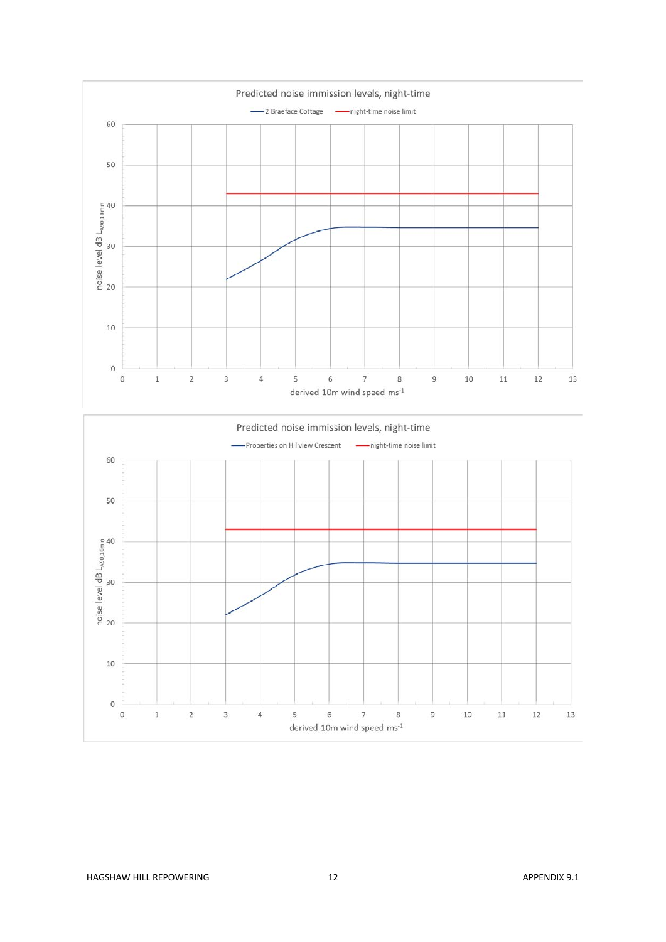

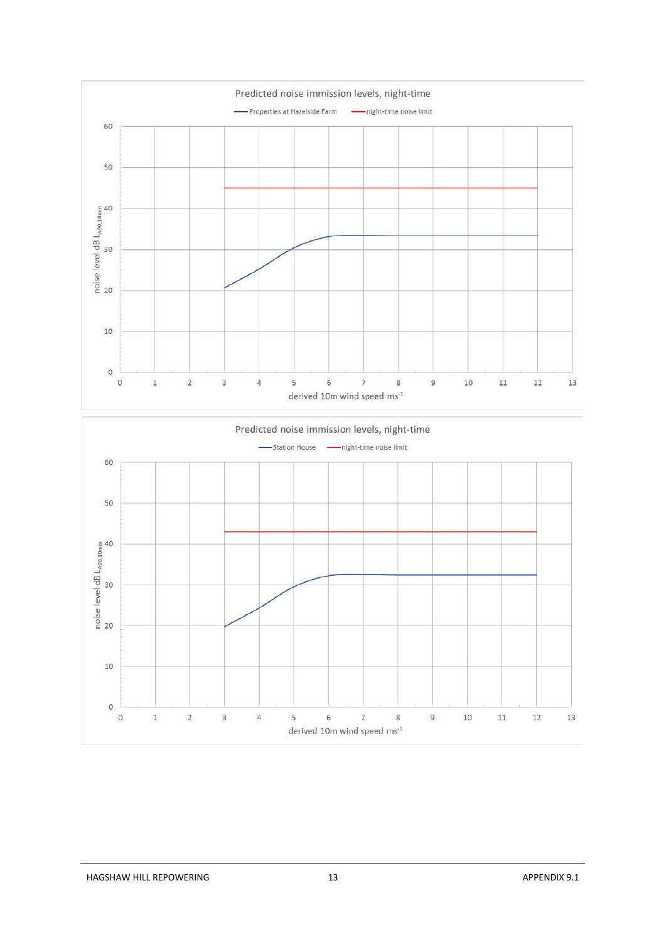

HAGSHAW HILL REPOWERING 13 13 APPENDIX 9.1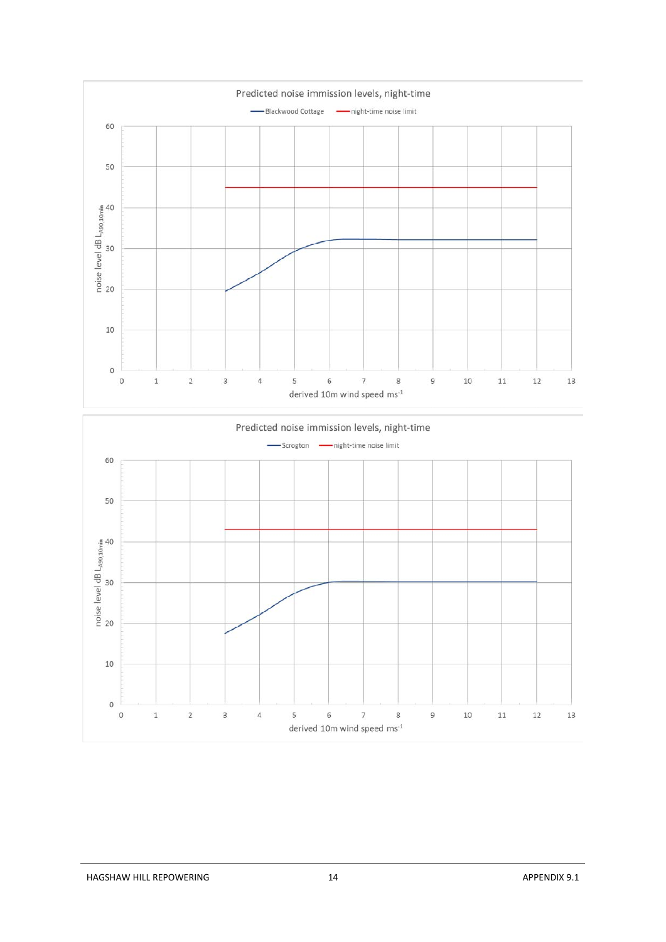